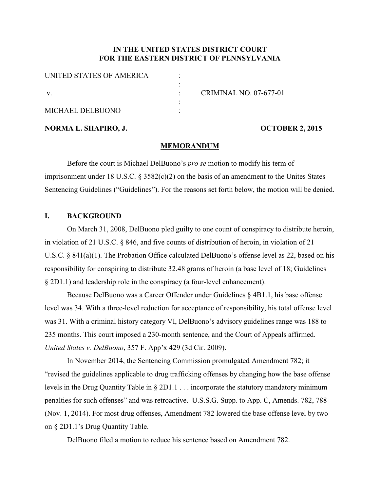## **IN THE UNITED STATES DISTRICT COURT FOR THE EASTERN DISTRICT OF PENNSYLVANIA**

| UNITED STATES OF AMERICA |                        |
|--------------------------|------------------------|
|                          |                        |
|                          | CRIMINAL NO. 07-677-01 |
|                          |                        |
| MICHAEL DELBUONO         |                        |

**NORMA L. SHAPIRO, J. OCTOBER 2, 2015** 

#### **MEMORANDUM**

Before the court is Michael DelBuono's *pro se* motion to modify his term of imprisonment under 18 U.S.C.  $\S 3582(c)(2)$  on the basis of an amendment to the Unites States Sentencing Guidelines ("Guidelines"). For the reasons set forth below, the motion will be denied.

### **I. BACKGROUND**

On March 31, 2008, DelBuono pled guilty to one count of conspiracy to distribute heroin, in violation of 21 U.S.C. § 846, and five counts of distribution of heroin, in violation of 21 U.S.C. § 841(a)(1). The Probation Office calculated DelBuono's offense level as 22, based on his responsibility for conspiring to distribute 32.48 grams of heroin (a base level of 18; Guidelines § 2D1.1) and leadership role in the conspiracy (a four-level enhancement).

Because DelBuono was a Career Offender under Guidelines § 4B1.1, his base offense level was 34. With a three-level reduction for acceptance of responsibility, his total offense level was 31. With a criminal history category VI, DelBuono's advisory guidelines range was 188 to 235 months. This court imposed a 230-month sentence, and the Court of Appeals affirmed. *United States v. DelBuono*, 357 F. App'x 429 (3d Cir. 2009).

In November 2014, the Sentencing Commission promulgated Amendment 782; it "revised the guidelines applicable to drug trafficking offenses by changing how the base offense levels in the Drug Quantity Table in § 2D1.1 . . . incorporate the statutory mandatory minimum penalties for such offenses" and was retroactive. U.S.S.G. Supp. to App. C, Amends. 782, 788 (Nov. 1, 2014). For most drug offenses, Amendment 782 lowered the base offense level by two on § 2D1.1's Drug Quantity Table.

DelBuono filed a motion to reduce his sentence based on Amendment 782.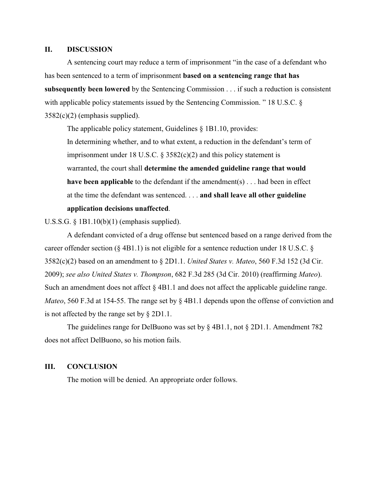#### **II. DISCUSSION**

A sentencing court may reduce a term of imprisonment "in the case of a defendant who has been sentenced to a term of imprisonment **based on a sentencing range that has subsequently been lowered** by the Sentencing Commission . . . if such a reduction is consistent with applicable policy statements issued by the Sentencing Commission. "18 U.S.C. § 3582(c)(2) (emphasis supplied).

The applicable policy statement, Guidelines § 1B1.10, provides: In determining whether, and to what extent, a reduction in the defendant's term of imprisonment under 18 U.S.C.  $\S$  3582(c)(2) and this policy statement is warranted, the court shall **determine the amended guideline range that would have been applicable** to the defendant if the amendment(s) . . . had been in effect at the time the defendant was sentenced. . . . **and shall leave all other guideline application decisions unaffected**.

U.S.S.G. § 1B1.10(b)(1) (emphasis supplied).

A defendant convicted of a drug offense but sentenced based on a range derived from the career offender section ( $\S$  4B1.1) is not eligible for a sentence reduction under 18 U.S.C.  $\S$ 3582(c)(2) based on an amendment to § 2D1.1. *United States v. Mateo*, 560 F.3d 152 (3d Cir. 2009); *see also United States v. Thompson*, 682 F.3d 285 (3d Cir. 2010) (reaffirming *Mateo*). Such an amendment does not affect  $\S$  4B1.1 and does not affect the applicable guideline range. *Mateo*, 560 F.3d at 154-55. The range set by § 4B1.1 depends upon the offense of conviction and is not affected by the range set by § 2D1.1.

The guidelines range for DelBuono was set by § 4B1.1, not § 2D1.1. Amendment 782 does not affect DelBuono, so his motion fails.

#### **III. CONCLUSION**

The motion will be denied. An appropriate order follows.